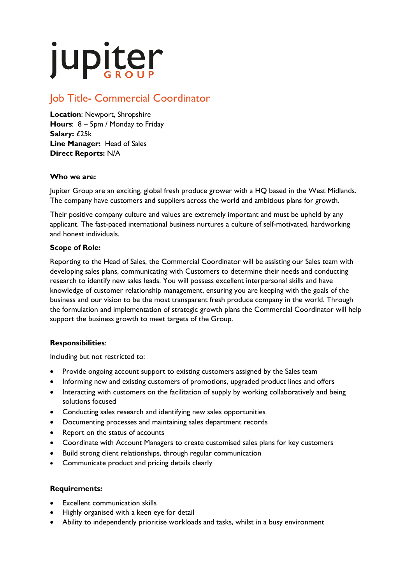# jupiter

# Job Title- Commercial Coordinator

**Location**: Newport, Shropshire **Hours**: 8 – 5pm / Monday to Friday **Salary:** £25k **Line Manager:** Head of Sales **Direct Reports:** N/A

### **Who we are:**

Jupiter Group are an exciting, global fresh produce grower with a HQ based in the West Midlands. The company have customers and suppliers across the world and ambitious plans for growth.

Their positive company culture and values are extremely important and must be upheld by any applicant. The fast-paced international business nurtures a culture of self-motivated, hardworking and honest individuals.

## **Scope of Role:**

Reporting to the Head of Sales, the Commercial Coordinator will be assisting our Sales team with developing sales plans, communicating with Customers to determine their needs and conducting research to identify new sales leads. You will possess excellent interpersonal skills and have knowledge of customer relationship management, ensuring you are keeping with the goals of the business and our vision to be the most transparent fresh produce company in the world. Through the formulation and implementation of strategic growth plans the Commercial Coordinator will help support the business growth to meet targets of the Group.

# **Responsibilities**:

Including but not restricted to:

- Provide ongoing account support to existing customers assigned by the Sales team
- Informing new and existing customers of promotions, upgraded product lines and offers
- Interacting with customers on the facilitation of supply by working collaboratively and being solutions focused
- Conducting sales research and identifying new sales opportunities
- Documenting processes and maintaining sales department records
- Report on the status of accounts
- Coordinate with Account Managers to create customised sales plans for key customers
- Build strong client relationships, through regular communication
- Communicate product and pricing details clearly

### **Requirements:**

- Excellent communication skills
- Highly organised with a keen eye for detail
- Ability to independently prioritise workloads and tasks, whilst in a busy environment